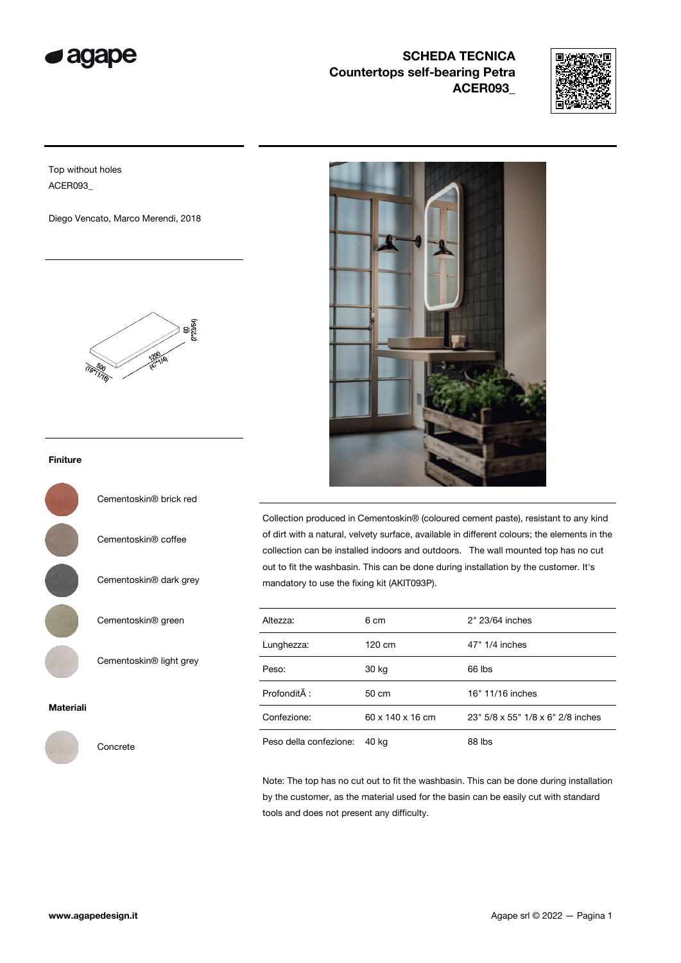

## SCHEDA TECNICA Countertops self-bearing Petra ACER093\_



Top without holes ACER093\_

Diego Vencato, Marco Merendi, 2018



## Finiture



Cementoskin® coffee

Cementoskin® dark grey

Cementoskin® green

Cementoskin® light grey

## Materiali



Concrete



Collection produced in Cementoskin® (coloured cement paste), resistant to any kind of dirt with a natural, velvety surface, available in different colours; the elements in the collection can be installed indoors and outdoors. The wall mounted top has no cut out to fit the washbasin. This can be done during installation by the customer. It's mandatory to use the fixing kit (AKIT093P).

| Altezza:               | 6 cm             | 2" 23/64 inches                   |
|------------------------|------------------|-----------------------------------|
| Lunghezza:             | 120 cm           | 47" 1/4 inches                    |
| Peso:                  | 30 kg            | 66 lbs                            |
| Profondità :           | 50 cm            | 16" 11/16 inches                  |
| Confezione:            | 60 x 140 x 16 cm | 23" 5/8 x 55" 1/8 x 6" 2/8 inches |
| Peso della confezione: | 40 ka            | 88 lbs                            |

Note: The top has no cut out to fit the washbasin. This can be done during installation by the customer, as the material used for the basin can be easily cut with standard tools and does not present any difficulty.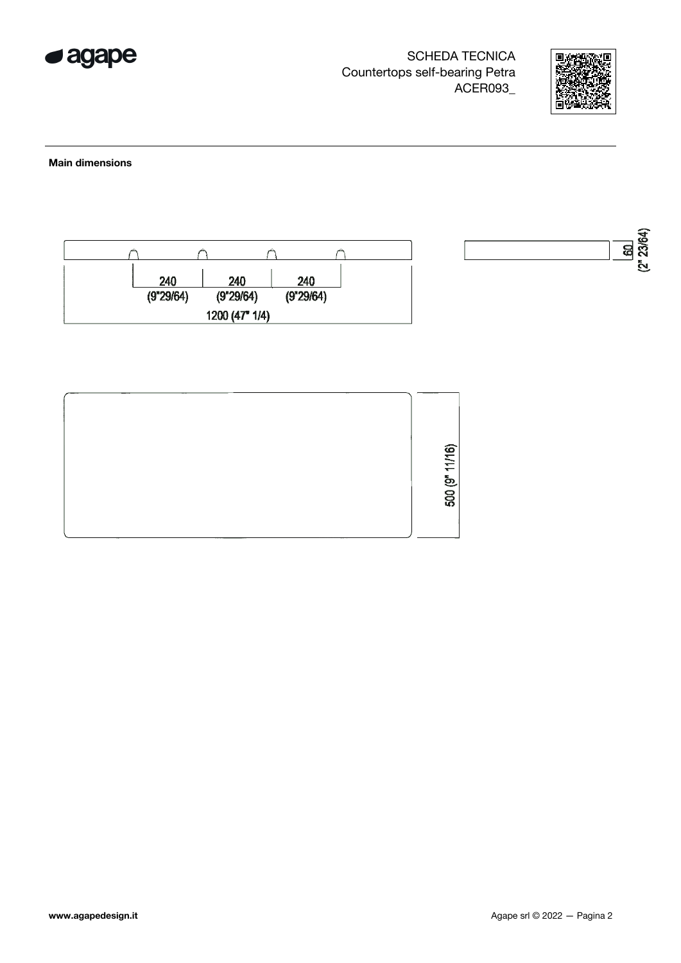

SCHEDA TECNICA Countertops self-bearing Petra ACER093\_



Main dimensions